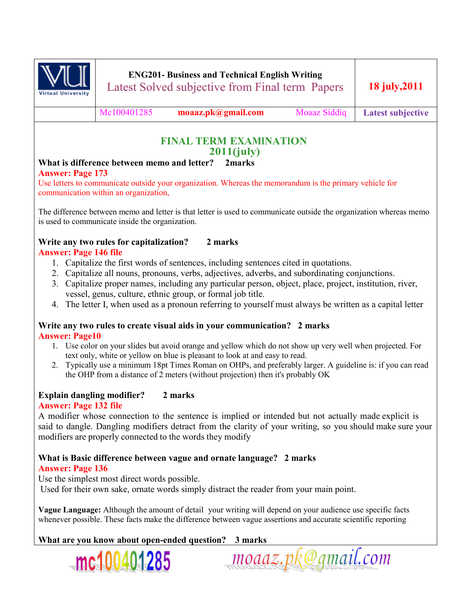

Mc100401285 **moaaz.pk@gmail.com** Moaaz Siddiq **Latest subjective** 

# **FINAL TERM EXAMINATION 2011(july)**

# **What is difference between memo and letter? 2marks**

#### **Answer: Page 173**

Use letters to communicate outside your organization. Whereas the memorandum is the primary vehicle for communication within an organization,

The difference between memo and letter is that letter is used to communicate outside the organization whereas memo is used to communicate inside the organization.

# **Write any two rules for capitalization? 2 marks**

## **Answer: Page 146 file**

- 1. Capitalize the first words of sentences, including sentences cited in quotations.
- 2. Capitalize all nouns, pronouns, verbs, adjectives, adverbs, and subordinating conjunctions.
- 3. Capitalize proper names, including any particular person, object, place, project, institution, river, vessel, genus, culture, ethnic group, or formal job title.
- 4. The letter I, when used as a pronoun referring to yourself must always be written as a capital letter

#### **Write any two rules to create visual aids in your communication? 2 marks Answer: Page10**

- 1. Use color on your slides but avoid orange and yellow which do not show up very well when projected. For text only, white or yellow on blue is pleasant to look at and easy to read.
- 2. Typically use a minimum 18pt Times Roman on OHPs, and preferably larger. A guideline is: if you can read the OHP from a distance of 2 meters (without projection) then it's probably OK

## **Explain dangling modifier? 2 marks**

## **Answer: Page 132 file**

A modifier whose connection to the sentence is implied or intended but not actually made explicit is said to dangle. Dangling modifiers detract from the clarity of your writing, so you should make sure your modifiers are properly connected to the words they modify

# **What is Basic difference between vague and ornate language? 2 marks**

## **Answer: Page 136**

Use the simplest most direct words possible.

Used for their own sake, ornate words simply distract the reader from your main point.

**Vague Language:** Although the amount of detail your writing will depend on your audience use specific facts whenever possible. These facts make the difference between vague assertions and accurate scientific reporting

# **What are you know about open-ended question? 3 marks**



moaaz.pk@gmail.com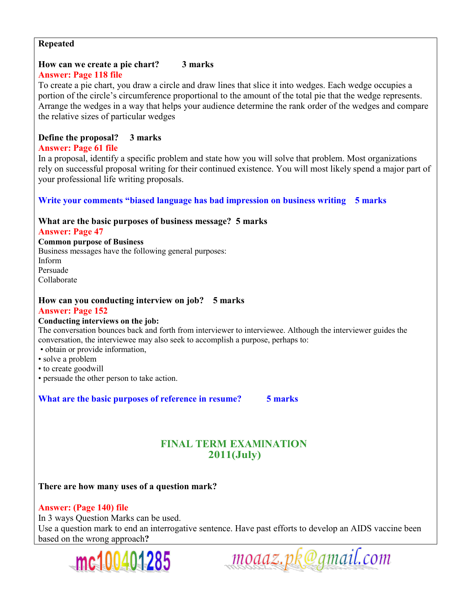#### **Repeated**

#### **How can we create a pie chart? 3 marks Answer: Page 118 file**

To create a pie chart, you draw a circle and draw lines that slice it into wedges. Each wedge occupies a portion of the circle's circumference proportional to the amount of the total pie that the wedge represents. Arrange the wedges in a way that helps your audience determine the rank order of the wedges and compare the relative sizes of particular wedges

#### **Define the proposal? 3 marks Answer: Page 61 file**

In a proposal, identify a specific problem and state how you will solve that problem. Most organizations rely on successful proposal writing for their continued existence. You will most likely spend a major part of your professional life writing proposals.

#### **Write your comments "biased language has bad impression on business writing 5 marks**

#### **What are the basic purposes of business message? 5 marks**

**Answer: Page 47** 

**Common purpose of Business**

Business messages have the following general purposes: Inform

Persuade

Collaborate

#### **How can you conducting interview on job? 5 marks Answer: Page 152**

#### **Conducting interviews on the job:**

The conversation bounces back and forth from interviewer to interviewee. Although the interviewer guides the conversation, the interviewee may also seek to accomplish a purpose, perhaps to:

- obtain or provide information,
- solve a problem
- to create goodwill
- persuade the other person to take action.

**What are the basic purposes of reference in resume? 5 marks** 

# **FINAL TERM EXAMINATION 2011(July)**

## **There are how many uses of a question mark?**

#### **Answer: (Page 140) file**

In 3 ways Question Marks can be used.

Use a question mark to end an interrogative sentence. Have past efforts to develop an AIDS vaccine been based on the wrong approach**?** 

moaaz.pk@gmail.com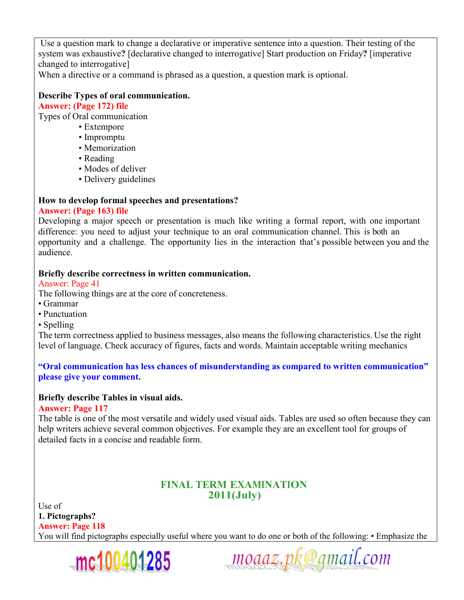Use a question mark to change a declarative or imperative sentence into a question. Their testing of the system was exhaustive**?** [declarative changed to interrogative] Start production on Friday**?** [imperative changed to interrogative]

When a directive or a command is phrased as a question, a question mark is optional.

## **Describe Types of oral communication.**

**Answer: (Page 172) file** 

Types of Oral communication

- Extempore
- Impromptu
- Memorization
- Reading
- Modes of deliver
- Delivery guidelines

## **How to develop formal speeches and presentations?**

## **Answer: (Page 163) file**

Developing a major speech or presentation is much like writing a formal report, with one important difference: you need to adjust your technique to an oral communication channel. This is both an opportunity and a challenge. The opportunity lies in the interaction that's possible between you and the audience.

## **Briefly describe correctness in written communication.**

## Answer: Page 41

The following things are at the core of concreteness.

- Grammar
- Punctuation
- Spelling

The term correctness applied to business messages, also means the following characteristics. Use the right level of language. Check accuracy of figures, facts and words. Maintain acceptable writing mechanics

**"Oral communication has less chances of misunderstanding as compared to written communication" please give your comment.** 

# **Briefly describe Tables in visual aids.**

# **Answer: Page 117**

The table is one of the most versatile and widely used visual aids. Tables are used so often because they can help writers achieve several common objectives. For example they are an excellent tool for groups of detailed facts in a concise and readable form.

# **FINAL TERM EXAMINATION 2011(July)**

Use of **1. Pictographs? Answer: Page 118**  You will find pictographs especially useful where you want to do one or both of the following: • Emphasize the



moaaz.pk@gmail.com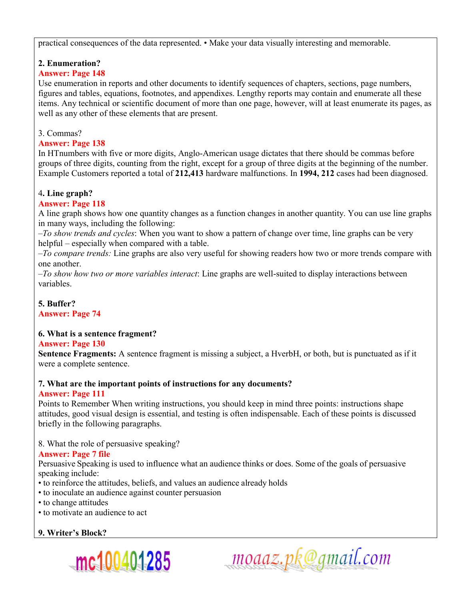practical consequences of the data represented. • Make your data visually interesting and memorable.

# **2. Enumeration?**

## **Answer: Page 148**

Use enumeration in reports and other documents to identify sequences of chapters, sections, page numbers, figures and tables, equations, footnotes, and appendixes. Lengthy reports may contain and enumerate all these items. Any technical or scientific document of more than one page, however, will at least enumerate its pages, as well as any other of these elements that are present.

## 3. Commas?

## **Answer: Page 138**

In HTnumbers with five or more digits, Anglo-American usage dictates that there should be commas before groups of three digits, counting from the right, except for a group of three digits at the beginning of the number. Example Customers reported a total of **212,413** hardware malfunctions. In **1994, 212** cases had been diagnosed.

## 4**. Line graph?**

## **Answer: Page 118**

A line graph shows how one quantity changes as a function changes in another quantity. You can use line graphs in many ways, including the following:

–*To show trends and cycles*: When you want to show a pattern of change over time, line graphs can be very helpful – especially when compared with a table.

–*To compare trends:* Line graphs are also very useful for showing readers how two or more trends compare with one another.

–*To show how two or more variables interact*: Line graphs are well-suited to display interactions between variables.

**5. Buffer? Answer: Page 74** 

## **6. What is a sentence fragment?**

## **Answer: Page 130**

**Sentence Fragments:** A sentence fragment is missing a subject, a HverbH, or both, but is punctuated as if it were a complete sentence.

# **7. What are the important points of instructions for any documents?**

## **Answer: Page 111**

Points to Remember When writing instructions, you should keep in mind three points: instructions shape attitudes, good visual design is essential, and testing is often indispensable. Each of these points is discussed briefly in the following paragraphs.

8. What the role of persuasive speaking?

## **Answer: Page 7 file**

Persuasive Speaking is used to influence what an audience thinks or does. Some of the goals of persuasive speaking include:

- to reinforce the attitudes, beliefs, and values an audience already holds
- to inoculate an audience against counter persuasion
- to change attitudes
- to motivate an audience to act

# **9. Writer's Block?**



moaaz.pk@gmail.com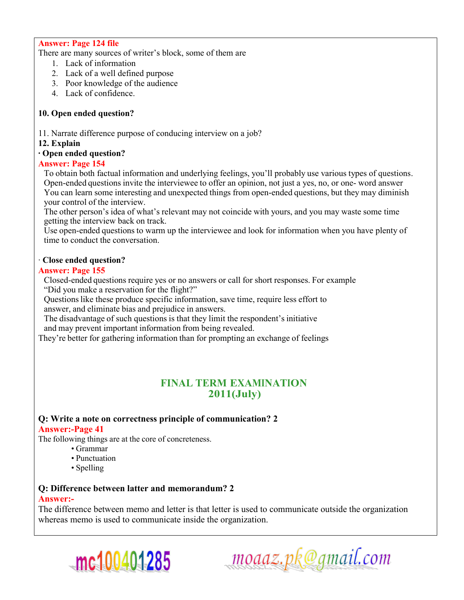#### **Answer: Page 124 file**

There are many sources of writer's block, some of them are

- 1. Lack of information
- 2. Lack of a well defined purpose
- 3. Poor knowledge of the audience
- 4. Lack of confidence.

#### **10. Open ended question?**

11. Narrate difference purpose of conducing interview on a job?

#### **12. Explain**

#### **· Open ended question?**

#### **Answer: Page 154**

To obtain both factual information and underlying feelings, you'll probably use various types of questions. Open-ended questions invite the interviewee to offer an opinion, not just a yes, no, or one- word answer You can learn some interesting and unexpected things from open-ended questions, but they may diminish your control of the interview.

The other person's idea of what's relevant may not coincide with yours, and you may waste some time getting the interview back on track.

Use open-ended questions to warm up the interviewee and look for information when you have plenty of time to conduct the conversation.

#### · **Close ended question?**

#### **Answer: Page 155**

Closed-ended questions require yes or no answers or call for short responses. For example "Did you make a reservation for the flight?"

Questions like these produce specific information, save time, require less effort to answer, and eliminate bias and prejudice in answers.

The disadvantage of such questions is that they limit the respondent's initiative and may prevent important information from being revealed.

They're better for gathering information than for prompting an exchange of feelings

## **FINAL TERM EXAMINATION 2011(July)**

#### **Q: Write a note on correctness principle of communication? 2**

#### **Answer:-Page 41**

The following things are at the core of concreteness.

- Grammar
- Punctuation
- Spelling

#### **Q: Difference between latter and memorandum? 2**

### **Answer:-**

The difference between memo and letter is that letter is used to communicate outside the organization whereas memo is used to communicate inside the organization.



moaaz.pk@gmail.com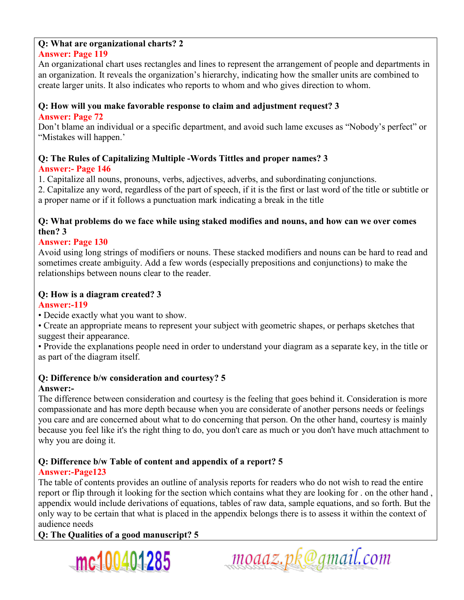# **Q: What are organizational charts? 2**

## **Answer: Page 119**

An organizational chart uses rectangles and lines to represent the arrangement of people and departments in an organization. It reveals the organization's hierarchy, indicating how the smaller units are combined to create larger units. It also indicates who reports to whom and who gives direction to whom.

# **Q: How will you make favorable response to claim and adjustment request? 3**

## **Answer: Page 72**

Don't blame an individual or a specific department, and avoid such lame excuses as "Nobody's perfect" or "Mistakes will happen.'

## **Q: The Rules of Capitalizing Multiple -Words Tittles and proper names? 3 Answer:- Page 146**

1. Capitalize all nouns, pronouns, verbs, adjectives, adverbs, and subordinating conjunctions.

2. Capitalize any word, regardless of the part of speech, if it is the first or last word of the title or subtitle or a proper name or if it follows a punctuation mark indicating a break in the title

## **Q: What problems do we face while using staked modifies and nouns, and how can we over comes then? 3**

# **Answer: Page 130**

Avoid using long strings of modifiers or nouns. These stacked modifiers and nouns can be hard to read and sometimes create ambiguity. Add a few words (especially prepositions and conjunctions) to make the relationships between nouns clear to the reader.

# **Q: How is a diagram created? 3**

## **Answer:-119**

• Decide exactly what you want to show.

• Create an appropriate means to represent your subject with geometric shapes, or perhaps sketches that suggest their appearance.

• Provide the explanations people need in order to understand your diagram as a separate key, in the title or as part of the diagram itself.

# **Q: Difference b/w consideration and courtesy? 5**

# **Answer:-**

The difference between consideration and courtesy is the feeling that goes behind it. Consideration is more compassionate and has more depth because when you are considerate of another persons needs or feelings you care and are concerned about what to do concerning that person. On the other hand, courtesy is mainly because you feel like it's the right thing to do, you don't care as much or you don't have much attachment to why you are doing it.

#### **Q: Difference b/w Table of content and appendix of a report? 5 Answer:-Page123**

The table of contents provides an outline of analysis reports for readers who do not wish to read the entire report or flip through it looking for the section which contains what they are looking for . on the other hand , appendix would include derivations of equations, tables of raw data, sample equations, and so forth. But the only way to be certain that what is placed in the appendix belongs there is to assess it within the context of audience needs

**Q: The Qualities of a good manuscript? 5** 



moaaz.pk@gmail.com